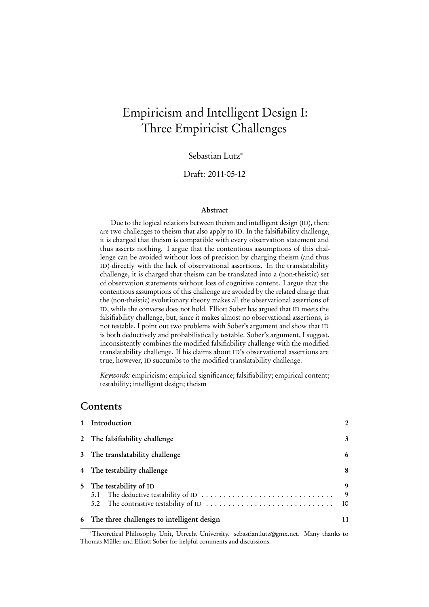# Empiricism and Intelligent Design I: Three Empiricist Challenges

Sebastian Lutz<sup>∗</sup>

Draft: 2011-05-12

#### Abstract

Due to the logical relations between theism and intelligent design (ID), there are two challenges to theism that also apply to ID. In the falsifiability challenge, it is charged that theism is compatible with every observation statement and thus asserts nothing. I argue that the contentious assumptions of this challenge can be avoided without loss of precision by charging theism (and thus ID) directly with the lack of observational assertions. In the translatability challenge, it is charged that theism can be translated into a (non-theistic) set of observation statements without loss of cognitive content. I argue that the contentious assumptions of this challenge are avoided by the related charge that the (non-theistic) evolutionary theory makes all the observational assertions of ID, while the converse does not hold. Elliott Sober has argued that ID meets the falsifiability challenge, but, since it makes almost no observational assertions, is not testable. I point out two problems with Sober's argument and show that ID is both deductively and probabilistically testable. Sober's argument, I suggest, inconsistently combines the modified falsifiability challenge with the modified translatability challenge. If his claims about ID's observational assertions are true, however, ID succumbs to the modified translatability challenge.

Keywords: empiricism; empirical significance; falsifiability; empirical content; testability; intelligent design; theism

#### **Contents**

| 1 Introduction                                                 | $\mathfrak{p}$ |
|----------------------------------------------------------------|----------------|
| 2 The falsifiability challenge                                 | 3              |
| 3 The translatability challenge                                | 6              |
| 4 The testability challenge                                    | 8              |
| 5 The testability of ID<br>5.1 The deductive testability of ID | 9<br>9<br>10   |
| 6 The three challenges to intelligent design                   | 11             |

<sup>∗</sup>Theoretical Philosophy Unit, Utrecht University. sebastian.lutz@gmx.net. Many thanks to Thomas Müller and Elliott Sober for helpful comments and discussions.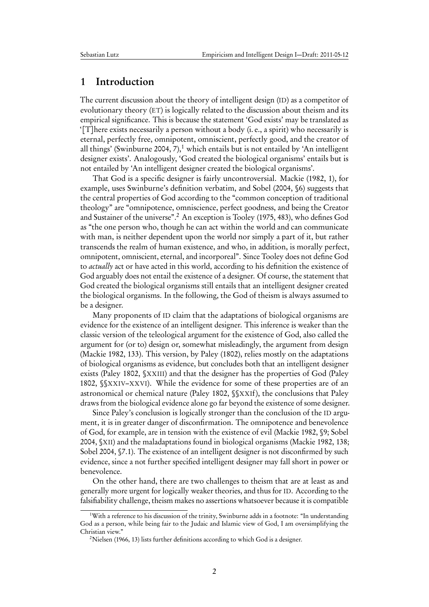#### <span id="page-1-0"></span>1 Introduction

The current discussion about the theory of intelligent design (ID) as a competitor of evolutionary theory (ET) is logically related to the discussion about theism and its empirical significance. This is because the statement 'God exists' may be translated as '[T]here exists necessarily a person without a body (i. e., a spirit) who necessarily is eternal, perfectly free, omnipotent, omniscient, perfectly good, and the creator of all things' [\(Swinburne](#page-13-0) [2004,](#page-13-0) 7), $\frac{1}{2}$  $\frac{1}{2}$  $\frac{1}{2}$  which entails but is not entailed by 'An intelligent designer exists'. Analogously, 'God created the biological organisms' entails but is not entailed by 'An intelligent designer created the biological organisms'.

That God is a specific designer is fairly uncontroversial. [Mackie](#page-12-0) [\(1982,](#page-12-0) 1), for example, uses Swinburne's definition verbatim, and [Sobel](#page-12-1) [\(2004,](#page-12-1) §6) suggests that the central properties of God according to the "common conception of traditional theology" are "omnipotence, omniscience, perfect goodness, and being the Creator and Sustainer of the universe".[2](#page-1-2) An exception is [Tooley](#page-13-1) [\(1975,](#page-13-1) 483), who defines God as "the one person who, though he can act within the world and can communicate with man, is neither dependent upon the world nor simply a part of it, but rather transcends the realm of human existence, and who, in addition, is morally perfect, omnipotent, omniscient, eternal, and incorporeal". Since Tooley does not define God to actually act or have acted in this world, according to his definition the existence of God arguably does not entail the existence of a designer. Of course, the statement that God created the biological organisms still entails that an intelligent designer created the biological organisms. In the following, the God of theism is always assumed to be a designer.

Many proponents of ID claim that the adaptations of biological organisms are evidence for the existence of an intelligent designer. This inference is weaker than the classic version of the teleological argument for the existence of God, also called the argument for (or to) design or, somewhat misleadingly, the argument from design [\(Mackie](#page-12-0) [1982,](#page-12-0) 133). This version, by [Paley](#page-12-2) [\(1802\)](#page-12-2), relies mostly on the adaptations of biological organisms as evidence, but concludes both that an intelligent designer exists [\(Paley](#page-12-2) [1802,](#page-12-2) §XXIII) and that the designer has the properties of God [\(Paley](#page-12-2) [1802,](#page-12-2) §§XXIV–XXVI). While the evidence for some of these properties are of an astronomical or chemical nature [\(Paley](#page-12-2) [1802,](#page-12-2) §§XXIf), the conclusions that Paley draws from the biological evidence alone go far beyond the existence of some designer.

Since Paley's conclusion is logically stronger than the conclusion of the ID argument, it is in greater danger of disconfirmation. The omnipotence and benevolence of God, for example, are in tension with the existence of evil [\(Mackie](#page-12-0) [1982,](#page-12-0) §9; [Sobel](#page-12-1) [2004,](#page-12-1) §XII) and the maladaptations found in biological organisms [\(Mackie](#page-12-0) [1982,](#page-12-0) 138; [Sobel](#page-12-1) [2004,](#page-12-1) §7.1). The existence of an intelligent designer is not disconfirmed by such evidence, since a not further specified intelligent designer may fall short in power or benevolence.

On the other hand, there are two challenges to theism that are at least as and generally more urgent for logically weaker theories, and thus for ID. According to the falsifiability challenge, theism makes no assertions whatsoever because it is compatible

<span id="page-1-1"></span><sup>&</sup>lt;sup>1</sup>With a reference to his discussion of the trinity, Swinburne adds in a footnote: "In understanding God as a person, while being fair to the Judaic and Islamic view of God, I am oversimplifying the Christian view."

<span id="page-1-2"></span><sup>&</sup>lt;sup>2</sup>[Nielsen](#page-12-3) [\(1966,](#page-12-3) 13) lists further definitions according to which God is a designer.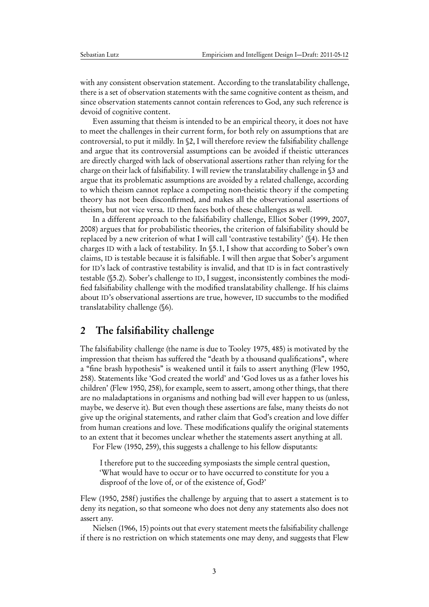with any consistent observation statement. According to the translatability challenge, there is a set of observation statements with the same cognitive content as theism, and since observation statements cannot contain references to God, any such reference is devoid of cognitive content.

Even assuming that theism is intended to be an empirical theory, it does not have to meet the challenges in their current form, for both rely on assumptions that are controversial, to put it mildly. In [§2,](#page-2-0) I will therefore review the falsifiability challenge and argue that its controversial assumptions can be avoided if theistic utterances are directly charged with lack of observational assertions rather than relying for the charge on their lack of falsifiability. I will review the translatability challenge in [§3](#page-5-0) and argue that its problematic assumptions are avoided by a related challenge, according to which theism cannot replace a competing non-theistic theory if the competing theory has not been disconfirmed, and makes all the observational assertions of theism, but not vice versa. ID then faces both of these challenges as well.

In a different approach to the falsifiability challenge, Elliot [Sober](#page-13-2) [\(1999,](#page-13-2) [2007,](#page-13-3) [2008\)](#page-13-4) argues that for probabilistic theories, the criterion of falsifiability should be replaced by a new criterion of what I will call 'contrastive testability' ([§4\)](#page-7-0). He then charges ID with a lack of testability. In [§5.1,](#page-8-1) I show that according to Sober's own claims, ID is testable because it is falsifiable. I will then argue that Sober's argument for ID's lack of contrastive testability is invalid, and that ID is in fact contrastively testable ([§5.2\)](#page-9-0). Sober's challenge to ID, I suggest, inconsistently combines the modified falsifiability challenge with the modified translatability challenge. If his claims about ID's observational assertions are true, however, ID succumbs to the modified translatability challenge ([§6\)](#page-10-0).

## <span id="page-2-0"></span>2 The falsifiability challenge

The falsifiability challenge (the name is due to [Tooley](#page-13-1) [1975,](#page-13-1) 485) is motivated by the impression that theism has suffered the "death by a thousand qualifications", where a "fine brash hypothesis" is weakened until it fails to assert anything [\(Flew](#page-11-0) [1950,](#page-11-0) 258). Statements like 'God created the world' and 'God loves us as a father loves his children' [\(Flew](#page-11-0) [1950,](#page-11-0) 258), for example, seem to assert, among other things, that there are no maladaptations in organisms and nothing bad will ever happen to us (unless, maybe, we deserve it). But even though these assertions are false, many theists do not give up the original statements, and rather claim that God's creation and love differ from human creations and love. These modifications qualify the original statements to an extent that it becomes unclear whether the statements assert anything at all.

For [Flew](#page-11-0) [\(1950,](#page-11-0) 259), this suggests a challenge to his fellow disputants:

I therefore put to the succeeding symposiasts the simple central question, 'What would have to occur or to have occurred to constitute for you a disproof of the love of, or of the existence of, God?'

[Flew](#page-11-0) [\(1950,](#page-11-0) 258f) justifies the challenge by arguing that to assert a statement is to deny its negation, so that someone who does not deny any statements also does not assert any.

[Nielsen](#page-12-3) [\(1966,](#page-12-3) 15) points out that every statement meets the falsifiability challenge if there is no restriction on which statements one may deny, and suggests that Flew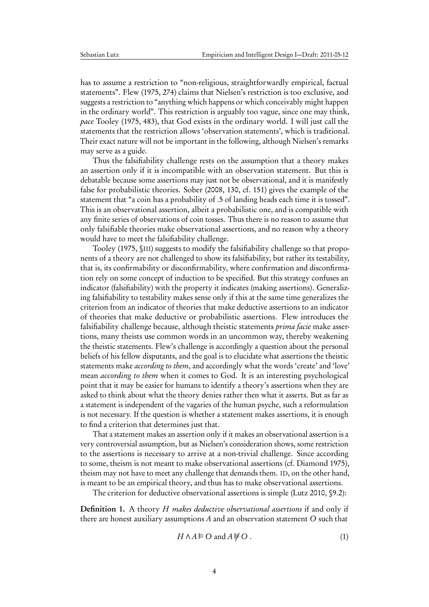has to assume a restriction to "non-religious, straightforwardly empirical, factual statements". [Flew](#page-11-1) [\(1975,](#page-11-1) 274) claims that Nielsen's restriction is too exclusive, and suggests a restriction to "anything which happens or which conceivably might happen in the ordinary world". This restriction is arguably too vague, since one may think, pace [Tooley](#page-13-1) [\(1975,](#page-13-1) 483), that God exists in the ordinary world. I will just call the statements that the restriction allows 'observation statements', which is traditional. Their exact nature will not be important in the following, although Nielsen's remarks may serve as a guide.

Thus the falsifiability challenge rests on the assumption that a theory makes an assertion only if it is incompatible with an observation statement. But this is debatable because some assertions may just not be observational, and it is manifestly false for probabilistic theories. [Sober](#page-13-4) [\(2008,](#page-13-4) 130, cf. 151) gives the example of the statement that "a coin has a probability of .5 of landing heads each time it is tossed". This is an observational assertion, albeit a probabilistic one, and is compatible with any finite series of observations of coin tosses. Thus there is no reason to assume that only falsifiable theories make observational assertions, and no reason why a theory would have to meet the falsifiability challenge.

[Tooley](#page-13-1) [\(1975,](#page-13-1) §III) suggests to modify the falsifiability challenge so that proponents of a theory are not challenged to show its falsifiability, but rather its testability, that is, its confirmability or disconfirmability, where confirmation and disconfirmation rely on some concept of induction to be specified. But this strategy confuses an indicator (falsifiability) with the property it indicates (making assertions). Generalizing falsifiability to testability makes sense only if this at the same time generalizes the criterion from an indicator of theories that make deductive assertions to an indicator of theories that make deductive or probabilistic assertions. Flew introduces the falsifiability challenge because, although theistic statements *prima facie* make assertions, many theists use common words in an uncommon way, thereby weakening the theistic statements. Flew's challenge is accordingly a question about the personal beliefs of his fellow disputants, and the goal is to elucidate what assertions the theistic statements make according to them, and accordingly what the words 'create' and 'love' mean according to them when it comes to God. It is an interesting psychological point that it may be easier for humans to identify a theory's assertions when they are asked to think about what the theory denies rather then what it asserts. But as far as a statement is independent of the vagaries of the human psyche, such a reformulation is not necessary. If the question is whether a statement makes assertions, it is enough to find a criterion that determines just that.

That a statement makes an assertion only if it makes an observational assertion is a very controversial assumption, but as Nielsen's consideration shows, some restriction to the assertions is necessary to arrive at a non-trivial challenge. Since according to some, theism is not meant to make observational assertions (cf. [Diamond](#page-11-2) [1975\)](#page-11-2), theism may not have to meet any challenge that demands them. ID, on the other hand, is meant to be an empirical theory, and thus has to make observational assertions.

The criterion for deductive observational assertions is simple [\(Lutz](#page-12-4) [2010,](#page-12-4) §9.2):

<span id="page-3-0"></span>Definition 1. A theory H makes deductive observational assertions if and only if there are honest auxiliary assumptions A and an observation statement O such that

$$
H \wedge A \models O \text{ and } A \not\models O. \tag{1}
$$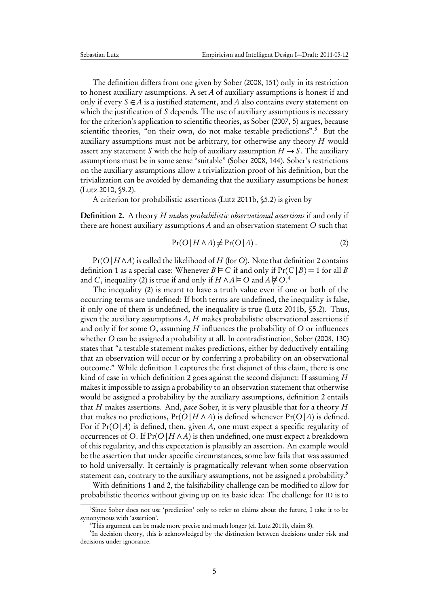The definition differs from one given by [Sober](#page-13-4) [\(2008,](#page-13-4) 151) only in its restriction to honest auxiliary assumptions. A set A of auxiliary assumptions is honest if and only if every  $S \in A$  is a justified statement, and A also contains every statement on which the justification of  $S$  depends. The use of auxiliary assumptions is necessary for the criterion's application to scientific theories, as [Sober](#page-13-3) [\(2007,](#page-13-3) 5) argues, because scientific theories, "on their own, do not make testable predictions".[3](#page-4-0) But the auxiliary assumptions must not be arbitrary, for otherwise any theory  $H$  would assert any statement S with the help of auxiliary assumption  $H \rightarrow S$ . The auxiliary assumptions must be in some sense "suitable" [\(Sober](#page-13-4) [2008,](#page-13-4) 144). Sober's restrictions on the auxiliary assumptions allow a trivialization proof of his definition, but the trivialization can be avoided by demanding that the auxiliary assumptions be honest [\(Lutz](#page-12-4) [2010,](#page-12-4) §9.2).

A criterion for probabilistic assertions [\(Lutz](#page-12-5) [2011b,](#page-12-5) §5.2) is given by

<span id="page-4-1"></span>**Definition 2.** A theory *H makes probabilistic observational assertions* if and only if there are honest auxiliary assumptions A and an observation statement O such that

<span id="page-4-2"></span>
$$
Pr(O | H \land A) \neq Pr(O | A).
$$
 (2)

 $Pr(O|H \land A)$  is called the likelihood of H (for O). Note that definition [2](#page-4-1) contains definition [1](#page-3-0) as a special case: Whenever  $B \models C$  if and only if  $Pr(C | B) = 1$  for all B and C, inequality [\(2\)](#page-4-2) is true if and only if  $H \wedge A \vDash O$  and  $A \not\models O$ .<sup>[4](#page-4-3)</sup>

The inequality [\(2\)](#page-4-2) is meant to have a truth value even if one or both of the occurring terms are undefined: If both terms are undefined, the inequality is false, if only one of them is undefined, the inequality is true [\(Lutz](#page-12-5) [2011b,](#page-12-5) §5.2). Thus, given the auxiliary assumptions  $A$ ,  $H$  makes probabilistic observational assertions if and only if for some  $O$ , assuming  $H$  influences the probability of  $O$  or influences whether O can be assigned a probability at all. In contradistinction, [Sober](#page-13-4) [\(2008,](#page-13-4) 130) states that "a testable statement makes predictions, either by deductively entailing that an observation will occur or by conferring a probability on an observational outcome." While definition [1](#page-3-0) captures the first disjunct of this claim, there is one kind of case in which definition [2](#page-4-1) goes against the second disjunct: If assuming  $H$ makes it impossible to assign a probability to an observation statement that otherwise would be assigned a probability by the auxiliary assumptions, definition [2](#page-4-1) entails that H makes assertions. And, pace Sober, it is very plausible that for a theory  $H$ that makes no predictions,  $Pr(O|H \wedge A)$  is defined whenever  $Pr(O|A)$  is defined. For if  $Pr(O|A)$  is defined, then, given A, one must expect a specific regularity of occurrences of O. If  $Pr(O|H \wedge A)$  is then undefined, one must expect a breakdown of this regularity, and this expectation is plausibly an assertion. An example would be the assertion that under specific circumstances, some law fails that was assumed to hold universally. It certainly is pragmatically relevant when some observation statement can, contrary to the auxiliary assumptions, not be assigned a probability.<sup>[5](#page-4-4)</sup>

With definitions [1](#page-3-0) and [2,](#page-4-1) the falsifiability challenge can be modified to allow for probabilistic theories without giving up on its basic idea: The challenge for ID is to

<span id="page-4-0"></span><sup>&</sup>lt;sup>3</sup>Since Sober does not use 'prediction' only to refer to claims about the future, I take it to be synonymous with 'assertion'.

<span id="page-4-4"></span><span id="page-4-3"></span><sup>&</sup>lt;sup>4</sup>This argument can be made more precise and much longer (cf. [Lutz](#page-12-5) [2011b,](#page-12-5) claim 8).

<sup>&</sup>lt;sup>5</sup>In decision theory, this is acknowledged by the distinction between decisions under risk and decisions under ignorance.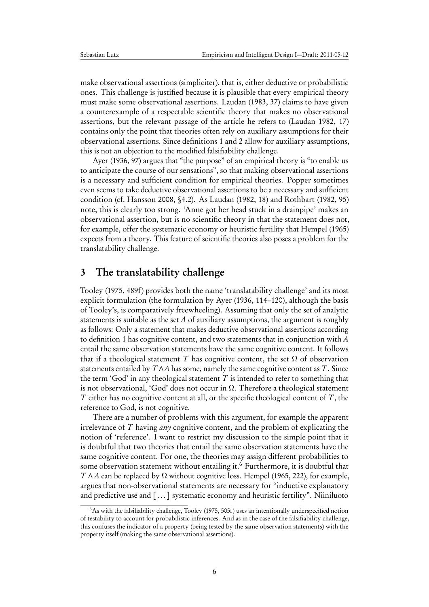make observational assertions (simpliciter), that is, either deductive or probabilistic ones. This challenge is justified because it is plausible that every empirical theory must make some observational assertions. [Laudan](#page-12-6) [\(1983,](#page-12-6) 37) claims to have given a counterexample of a respectable scientific theory that makes no observational assertions, but the relevant passage of the article he refers to [\(Laudan](#page-12-7) [1982,](#page-12-7) 17) contains only the point that theories often rely on auxiliary assumptions for their observational assertions. Since definitions [1](#page-3-0) and [2](#page-4-1) allow for auxiliary assumptions, this is not an objection to the modified falsifiability challenge.

[Ayer](#page-11-3) [\(1936,](#page-11-3) 97) argues that "the purpose" of an empirical theory is "to enable us to anticipate the course of our sensations", so that making observational assertions is a necessary and sufficient condition for empirical theories. Popper sometimes even seems to take deductive observational assertions to be a necessary and sufficient condition (cf. [Hansson](#page-12-8) [2008,](#page-12-8) §4.2). As [Laudan](#page-12-7) [\(1982,](#page-12-7) 18) and [Rothbart](#page-12-9) [\(1982,](#page-12-9) 95) note, this is clearly too strong. 'Anne got her head stuck in a drainpipe' makes an observational assertion, but is no scientific theory in that the statement does not, for example, offer the systematic economy or heuristic fertility that [Hempel](#page-12-10) [\(1965\)](#page-12-10) expects from a theory. This feature of scientific theories also poses a problem for the translatability challenge.

## <span id="page-5-0"></span>3 The translatability challenge

[Tooley](#page-13-1) [\(1975,](#page-13-1) 489f) provides both the name 'translatability challenge' and its most explicit formulation (the formulation by [Ayer](#page-11-3) [\(1936,](#page-11-3) 114–120), although the basis of Tooley's, is comparatively freewheeling). Assuming that only the set of analytic statements is suitable as the set A of auxiliary assumptions, the argument is roughly as follows: Only a statement that makes deductive observational assertions according to definition [1](#page-3-0) has cognitive content, and two statements that in conjunction with A entail the same observation statements have the same cognitive content. It follows that if a theological statement T has cognitive content, the set  $\Omega$  of observation statements entailed by  $T \wedge A$  has some, namely the same cognitive content as  $T$ . Since the term 'God' in any theological statement  $T$  is intended to refer to something that is not observational, 'God' does not occur in  $\Omega$ . Therefore a theological statement  $T$  either has no cognitive content at all, or the specific theological content of  $T$ , the reference to God, is not cognitive.

There are a number of problems with this argument, for example the apparent irrelevance of  $T$  having  $any$  cognitive content, and the problem of explicating the notion of 'reference'. I want to restrict my discussion to the simple point that it is doubtful that two theories that entail the same observation statements have the same cognitive content. For one, the theories may assign different probabilities to some observation statement without entailing it.<sup>[6](#page-5-1)</sup> Furthermore, it is doubtful that  $T \wedge A$  can be replaced by  $\Omega$  without cognitive loss. [Hempel](#page-12-10) [\(1965,](#page-12-10) 222), for example, argues that non-observational statements are necessary for "inductive explanatory and predictive use and [...] systematic economy and heuristic fertility". [Niiniluoto](#page-12-11)

<span id="page-5-1"></span><sup>&</sup>lt;sup>6</sup>As with the falsifiability challenge, [Tooley](#page-13-1) [\(1975,](#page-13-1) 505f) uses an intentionally underspecified notion of testability to account for probabilistic inferences. And as in the case of the falsifiability challenge, this confuses the indicator of a property (being tested by the same observation statements) with the property itself (making the same observational assertions).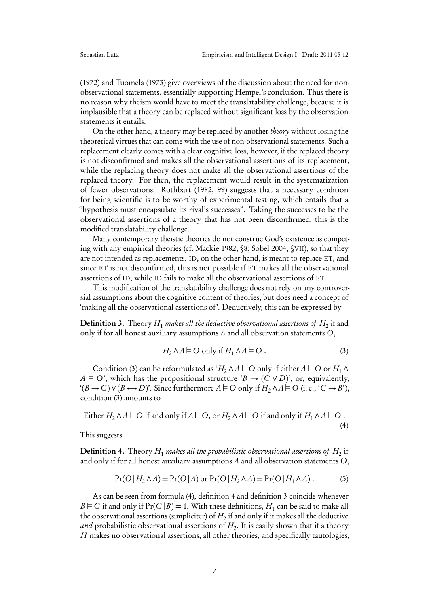[\(1972\)](#page-12-11) and [Tuomela](#page-13-5) [\(1973\)](#page-13-5) give overviews of the discussion about the need for nonobservational statements, essentially supporting Hempel's conclusion. Thus there is no reason why theism would have to meet the translatability challenge, because it is implausible that a theory can be replaced without significant loss by the observation statements it entails.

On the other hand, a theory may be replaced by another theory without losing the theoretical virtues that can come with the use of non-observational statements. Such a replacement clearly comes with a clear cognitive loss, however, if the replaced theory is not disconfirmed and makes all the observational assertions of its replacement, while the replacing theory does not make all the observational assertions of the replaced theory. For then, the replacement would result in the systematization of fewer observations. [Rothbart](#page-12-9) [\(1982,](#page-12-9) 99) suggests that a necessary condition for being scientific is to be worthy of experimental testing, which entails that a "hypothesis must encapsulate its rival's successes". Taking the successes to be the observational assertions of a theory that has not been disconfirmed, this is the modified translatability challenge.

Many contemporary theistic theories do not construe God's existence as competing with any empirical theories (cf. [Mackie](#page-12-0) [1982,](#page-12-0) §8; [Sobel](#page-12-1) [2004,](#page-12-1) §VII), so that they are not intended as replacements. ID, on the other hand, is meant to replace ET, and since ET is not disconfirmed, this is not possible if ET makes all the observational assertions of ID, while ID fails to make all the observational assertions of ET.

This modification of the translatability challenge does not rely on any controversial assumptions about the cognitive content of theories, but does need a concept of 'making all the observational assertions of'. Deductively, this can be expressed by

<span id="page-6-3"></span>**Definition 3.** Theory  $H_1$  *makes all the deductive observational assertions of*  $H_2$  *if and* only if for all honest auxiliary assumptions A and all observation statements  $O$ ,

<span id="page-6-0"></span>
$$
H_2 \wedge A \vDash \mathcal{O} \text{ only if } H_1 \wedge A \vDash \mathcal{O} \,. \tag{3}
$$

Condition [\(3\)](#page-6-0) can be reformulated as 'H<sub>2</sub> ∧ A  $\vdash$  O only if either A  $\vdash$  O or H<sub>1</sub> ∧  $A \models O'$ , which has the propositional structure ' $B \rightarrow (C \lor D)'$ , or, equivalently,  $\mathcal{L}(B \to C) \vee (B \leftrightarrow D)$ . Since furthermore  $A \vDash O$  only if  $H_2 \wedge A \vDash O$  (i. e.,  $\mathcal{L} \to B'$ ), condition [\(3\)](#page-6-0) amounts to

<span id="page-6-1"></span>Either 
$$
H_2 \wedge A \models O
$$
 if and only if  $A \models O$ , or  $H_2 \wedge A \models O$  if and only if  $H_1 \wedge A \models O$ .  
(4)

This suggests

<span id="page-6-2"></span>**Definition 4.** Theory  $H_1$  makes all the probabilistic observational assertions of  $H_2$  if and only if for all honest auxiliary assumptions A and all observation statements O,

$$
Pr(O|H_2 \wedge A) = Pr(O|A) \text{ or } Pr(O|H_2 \wedge A) = Pr(O|H_1 \wedge A).
$$
 (5)

As can be seen from formula [\(4\)](#page-6-1), definition [4](#page-6-2) and definition [3](#page-6-3) coincide whenever  $B \vDash C$  if and only if  $Pr(C | B) = 1$ . With these definitions,  $H_1$  can be said to make all the observational assertions (simpliciter) of  $H_2$  if and only if it makes all the deductive *and* probabilistic observational assertions of  $H_2$ . It is easily shown that if a theory H makes no observational assertions, all other theories, and specifically tautologies,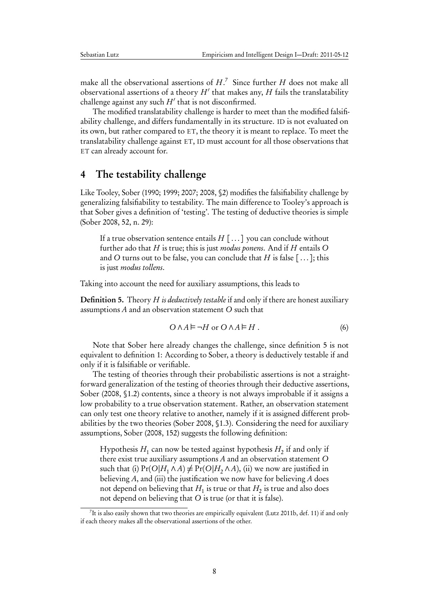make all the observational assertions of  $H$ .<sup>[7](#page-7-1)</sup> Since further  $H$  does not make all observational assertions of a theory  $H'$  that makes any,  $H$  fails the translatability challenge against any such  $H'$  that is not disconfirmed.

The modified translatability challenge is harder to meet than the modified falsifiability challenge, and differs fundamentally in its structure. ID is not evaluated on its own, but rather compared to ET, the theory it is meant to replace. To meet the translatability challenge against ET, ID must account for all those observations that ET can already account for.

#### <span id="page-7-0"></span>4 The testability challenge

Like Tooley, Sober [\(1990;](#page-13-6) [1999;](#page-13-2) [2007;](#page-13-3) [2008,](#page-13-4) §2) modifies the falsifiability challenge by generalizing falsifiability to testability. The main difference to Tooley's approach is that Sober gives a definition of 'testing'. The testing of deductive theories is simple [\(Sober](#page-13-4) [2008,](#page-13-4) 52, n. 29):

If a true observation sentence entails  $H$  [...] you can conclude without further ado that  $H$  is true; this is just modus ponens. And if  $H$  entails  $O$ and O turns out to be false, you can conclude that H is false  $[\,\dots\,]$ ; this is just modus tollens.

Taking into account the need for auxiliary assumptions, this leads to

<span id="page-7-2"></span>**Definition 5.** Theory  $H$  is deductively testable if and only if there are honest auxiliary assumptions A and an observation statement O such that

$$
O \wedge A \models \neg H \text{ or } O \wedge A \models H. \tag{6}
$$

Note that Sober here already changes the challenge, since definition [5](#page-7-2) is not equivalent to definition [1:](#page-3-0) According to Sober, a theory is deductively testable if and only if it is falsifiable or verifiable.

The testing of theories through their probabilistic assertions is not a straightforward generalization of the testing of theories through their deductive assertions, [Sober](#page-13-4) [\(2008,](#page-13-4) §1.2) contents, since a theory is not always improbable if it assigns a low probability to a true observation statement. Rather, an observation statement can only test one theory relative to another, namely if it is assigned different probabilities by the two theories [\(Sober](#page-13-4) [2008,](#page-13-4) §1.3). Considering the need for auxiliary assumptions, [Sober](#page-13-4) [\(2008,](#page-13-4) 152) suggests the following definition:

Hypothesis  $H_1$  can now be tested against hypothesis  $H_2$  if and only if there exist true auxiliary assumptions A and an observation statement O such that (i)  $Pr(O|H_1 \wedge A) \neq Pr(O|H_2 \wedge A)$ , (ii) we now are justified in believing A, and (iii) the justification we now have for believing A does not depend on believing that  $H_1$  is true or that  $H_2$  is true and also does not depend on believing that O is true (or that it is false).

<span id="page-7-1"></span> $^{7}$ It is also easily shown that two theories are empirically equivalent [\(Lutz](#page-12-5) [2011b,](#page-12-5) def. 11) if and only if each theory makes all the observational assertions of the other.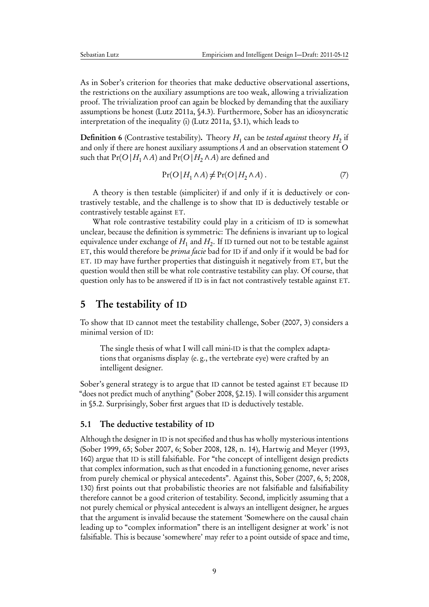As in Sober's criterion for theories that make deductive observational assertions, the restrictions on the auxiliary assumptions are too weak, allowing a trivialization proof. The trivialization proof can again be blocked by demanding that the auxiliary assumptions be honest [\(Lutz](#page-12-12) [2011a,](#page-12-12) §4.3). Furthermore, Sober has an idiosyncratic interpretation of the inequality (i) [\(Lutz](#page-12-12) [2011a,](#page-12-12) §3.1), which leads to

**Definition 6** (Contrastive testability). Theory  $H_1$  can be *tested against* theory  $H_2$  if and only if there are honest auxiliary assumptions A and an observation statement O such that  $Pr(O | H_1 \land A)$  and  $Pr(O | H_2 \land A)$  are defined and

$$
Pr(O|H_1 \wedge A) \neq Pr(O|H_2 \wedge A). \tag{7}
$$

A theory is then testable (simpliciter) if and only if it is deductively or contrastively testable, and the challenge is to show that ID is deductively testable or contrastively testable against ET.

What role contrastive testability could play in a criticism of ID is somewhat unclear, because the definition is symmetric: The definiens is invariant up to logical equivalence under exchange of  $H_1$  and  $H_2.$  If ID turned out not to be testable against ET, this would therefore be prima facie bad for ID if and only if it would be bad for ET. ID may have further properties that distinguish it negatively from ET, but the question would then still be what role contrastive testability can play. Of course, that question only has to be answered if ID is in fact not contrastively testable against ET.

#### <span id="page-8-0"></span>5 The testability of ID

To show that ID cannot meet the testability challenge, [Sober](#page-13-3) [\(2007,](#page-13-3) 3) considers a minimal version of ID:

The single thesis of what I will call mini-ID is that the complex adaptations that organisms display (e. g., the vertebrate eye) were crafted by an intelligent designer.

Sober's general strategy is to argue that ID cannot be tested against ET because ID "does not predict much of anything" [\(Sober](#page-13-4) [2008,](#page-13-4) §2.15). I will consider this argument in [§5.2.](#page-9-0) Surprisingly, Sober first argues that ID is deductively testable.

#### <span id="page-8-1"></span>5.1 The deductive testability of ID

Although the designer in ID is not specified and thus has wholly mysterious intentions [\(Sober](#page-13-2) [1999,](#page-13-2) 65; [Sober](#page-13-3) [2007,](#page-13-3) 6; [Sober](#page-13-4) [2008,](#page-13-4) 128, n. 14), [Hartwig and Meyer](#page-12-13) [\(1993,](#page-12-13) 160) argue that ID is still falsifiable. For "the concept of intelligent design predicts that complex information, such as that encoded in a functioning genome, never arises from purely chemical or physical antecedents". Against this, Sober [\(2007,](#page-13-3) 6, 5; [2008,](#page-13-4) 130) first points out that probabilistic theories are not falsifiable and falsifiability therefore cannot be a good criterion of testability. Second, implicitly assuming that a not purely chemical or physical antecedent is always an intelligent designer, he argues that the argument is invalid because the statement 'Somewhere on the causal chain leading up to "complex information" there is an intelligent designer at work' is not falsifiable. This is because 'somewhere' may refer to a point outside of space and time,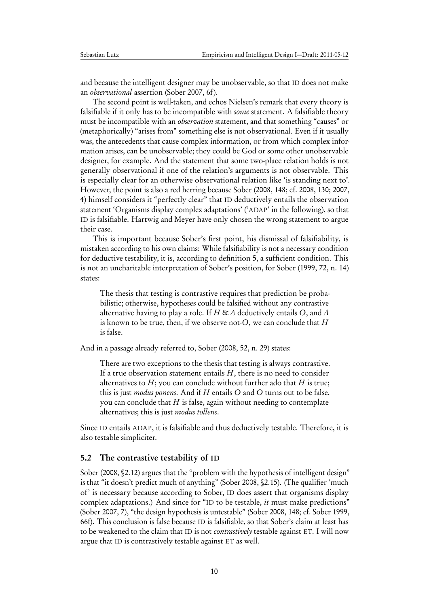and because the intelligent designer may be unobservable, so that ID does not make an observational assertion [\(Sober](#page-13-3) [2007,](#page-13-3) 6f).

The second point is well-taken, and echos Nielsen's remark that every theory is falsifiable if it only has to be incompatible with *some* statement. A falsifiable theory must be incompatible with an *observation* statement, and that something "causes" or (metaphorically) "arises from" something else is not observational. Even if it usually was, the antecedents that cause complex information, or from which complex information arises, can be unobservable; they could be God or some other unobservable designer, for example. And the statement that some two-place relation holds is not generally observational if one of the relation's arguments is not observable. This is especially clear for an otherwise observational relation like 'is standing next to'. However, the point is also a red herring because Sober [\(2008,](#page-13-4) 148; cf. [2008,](#page-13-4) 130; [2007,](#page-13-3) 4) himself considers it "perfectly clear" that ID deductively entails the observation statement 'Organisms display complex adaptations' ('ADAP' in the following), so that ID is falsifiable. [Hartwig and Meyer](#page-12-13) have only chosen the wrong statement to argue their case.

This is important because Sober's first point, his dismissal of falsifiability, is mistaken according to his own claims: While falsifiability is not a necessary condition for deductive testability, it is, according to definition [5,](#page-7-2) a sufficient condition. This is not an uncharitable interpretation of Sober's position, for [Sober](#page-13-2) [\(1999,](#page-13-2) 72, n. 14) states:

The thesis that testing is contrastive requires that prediction be probabilistic; otherwise, hypotheses could be falsified without any contrastive alternative having to play a role. If H & A deductively entails O, and A is known to be true, then, if we observe not-O, we can conclude that  $H$ is false.

And in a passage already referred to, [Sober](#page-13-4) [\(2008,](#page-13-4) 52, n. 29) states:

There are two exceptions to the thesis that testing is always contrastive. If a true observation statement entails  $H$ , there is no need to consider alternatives to  $H$ ; you can conclude without further ado that  $H$  is true; this is just *modus ponens*. And if  $H$  entails  $O$  and  $O$  turns out to be false, you can conclude that  $H$  is false, again without needing to contemplate alternatives; this is just modus tollens.

Since ID entails ADAP, it is falsifiable and thus deductively testable. Therefore, it is also testable simpliciter.

#### <span id="page-9-0"></span>5.2 The contrastive testability of ID

[Sober](#page-13-4) [\(2008,](#page-13-4) §2.12) argues that the "problem with the hypothesis of intelligent design" is that "it doesn't predict much of anything" [\(Sober](#page-13-4) [2008,](#page-13-4) §2.15). (The qualifier 'much of' is necessary because according to Sober, ID does assert that organisms display complex adaptations.) And since for "ID to be testable, it must make predictions" [\(Sober](#page-13-3) [2007,](#page-13-3) 7), "the design hypothesis is untestable" [\(Sober](#page-13-4) [2008,](#page-13-4) 148; cf. [Sober](#page-13-2) [1999,](#page-13-2) 66f). This conclusion is false because ID is falsifiable, so that Sober's claim at least has to be weakened to the claim that ID is not *contrastively* testable against ET. I will now argue that ID is contrastively testable against ET as well.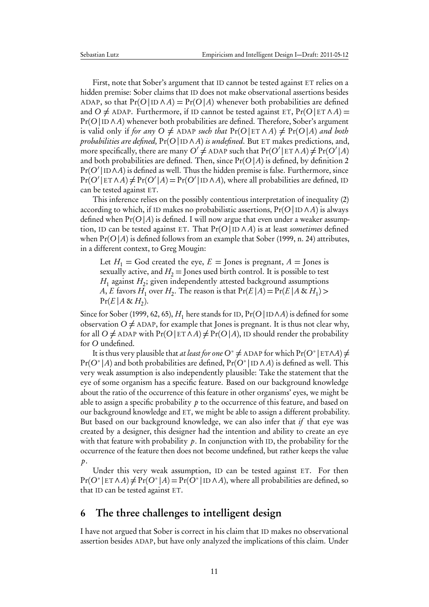First, note that Sober's argument that ID cannot be tested against ET relies on a hidden premise: Sober claims that ID does not make observational assertions besides ADAP, so that  $Pr(O | ID \land A) = Pr(O | A)$  whenever both probabilities are defined and O  $\neq$  ADAP. Furthermore, if ID cannot be tested against ET, Pr(O | ET  $\wedge$  A) = Pr(O | ID ∧ A) whenever both probabilities are defined. Therefore, Sober's argument is valid only if for any  $O \neq A$ DAP such that  $Pr(O | E \cap A) \neq Pr(O | A)$  and both probabilities are defined,  $Pr(O | ID \land A)$  is undefined. But ET makes predictions, and, more specifically, there are many  $O'\neq$  ADAP such that  $\Pr(O'|\Epsilon\Gamma \wedge A)\!\neq\!\Pr(O'|A)$ and both probabilities are defined. Then, since  $Pr(O|A)$  is defined, by definition [2](#page-4-1)  $Pr(O' | \mathrm{ID} \wedge A)$  is defined as well. Thus the hidden premise is false. Furthermore, since  $Pr(O' | E \cap \Lambda A) \neq Pr(O' | A) = Pr(O' | ID \land A)$ , where all probabilities are defined, ID can be tested against ET.

This inference relies on the possibly contentious interpretation of inequality [\(2\)](#page-4-2) according to which, if ID makes no probabilistic assertions,  $Pr(O | ID \land A)$  is always defined when  $Pr(O|A)$  is defined. I will now argue that even under a weaker assumption, ID can be tested against ET. That  $Pr(O | ID \land A)$  is at least sometimes defined when  $Pr(O | A)$  is defined follows from an example that [Sober](#page-13-2) [\(1999,](#page-13-2) n. 24) attributes, in a different context, to Greg Mougin:

Let  $H_1$  = God created the eye,  $E =$  Jones is pregnant,  $A =$  Jones is sexually active, and  $H_2$  = Jones used birth control. It is possible to test  $H_1$  against  $H_2$ ; given independently attested background assumptions A, E favors  $H_1$  over  $H_2$ . The reason is that  $Pr(E|A) = Pr(E|A \& H_1)$  $Pr(E | A \& H_2).$ 

Since for [Sober](#page-13-2) [\(1999,](#page-13-2) 62, 65),  $H_1$  here stands for ID,  $Pr(O | ID \land A)$  is defined for some observation  $O \neq A$ DAP, for example that Jones is pregnant. It is thus not clear why, for all O  $\neq$  ADAP with Pr(O | ET  $\land$  A)  $\neq$  Pr(O | A), ID should render the probability for O undefined.

It is thus very plausible that *at least for one*  $O^* \neq$  ADAP for which Pr( $O^*$ |ET∧A)  $\neq$  $\Pr(O^* | A)$  and both probabilities are defined,  $\Pr(O^* | \text{ID} \land A)$  is defined as well. This very weak assumption is also independently plausible: Take the statement that the eye of some organism has a specific feature. Based on our background knowledge about the ratio of the occurrence of this feature in other organisms' eyes, we might be able to assign a specific probability  $p$  to the occurrence of this feature, and based on our background knowledge and ET, we might be able to assign a different probability. But based on our background knowledge, we can also infer that  $if$  that eye was created by a designer, this designer had the intention and ability to create an eye with that feature with probability  $p$ . In conjunction with ID, the probability for the occurrence of the feature then does not become undefined, but rather keeps the value  $\mathfrak{p}.$ 

Under this very weak assumption, ID can be tested against ET. For then  $Pr(O^* | E \cap \land A) \neq Pr(O^* | A) = Pr(O^* | ID \land A),$  where all probabilities are defined, so that ID can be tested against ET.

#### <span id="page-10-0"></span>6 The three challenges to intelligent design

I have not argued that Sober is correct in his claim that ID makes no observational assertion besides ADAP, but have only analyzed the implications of this claim. Under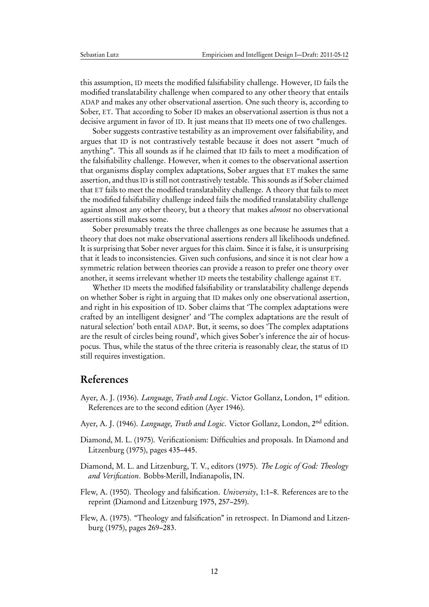this assumption, ID meets the modified falsifiability challenge. However, ID fails the modified translatability challenge when compared to any other theory that entails ADAP and makes any other observational assertion. One such theory is, according to Sober, ET. That according to Sober ID makes an observational assertion is thus not a decisive argument in favor of ID. It just means that ID meets one of two challenges.

Sober suggests contrastive testability as an improvement over falsifiability, and argues that ID is not contrastively testable because it does not assert "much of anything". This all sounds as if he claimed that ID fails to meet a modification of the falsifiability challenge. However, when it comes to the observational assertion that organisms display complex adaptations, Sober argues that ET makes the same assertion, and thus ID is still not contrastively testable. This sounds as if Sober claimed that ET fails to meet the modified translatability challenge. A theory that fails to meet the modified falsifiability challenge indeed fails the modified translatability challenge against almost any other theory, but a theory that makes almost no observational assertions still makes some.

Sober presumably treats the three challenges as one because he assumes that a theory that does not make observational assertions renders all likelihoods undefined. It is surprising that Sober never argues for this claim. Since it is false, it is unsurprising that it leads to inconsistencies. Given such confusions, and since it is not clear how a symmetric relation between theories can provide a reason to prefer one theory over another, it seems irrelevant whether ID meets the testability challenge against ET.

Whether ID meets the modified falsifiability or translatability challenge depends on whether Sober is right in arguing that ID makes only one observational assertion, and right in his exposition of ID. Sober claims that 'The complex adaptations were crafted by an intelligent designer' and 'The complex adaptations are the result of natural selection' both entail ADAP. But, it seems, so does 'The complex adaptations are the result of circles being round', which gives Sober's inference the air of hocuspocus. Thus, while the status of the three criteria is reasonably clear, the status of ID still requires investigation.

## References

- <span id="page-11-3"></span>Ayer, A. J. (1936). *Language, Truth and Logic*. Victor Gollanz, London, 1<sup>st</sup> edition. References are to the second edition [\(Ayer](#page-11-4) [1946\)](#page-11-4).
- <span id="page-11-4"></span>Ayer, A. J. (1946). *Language, Truth and Logic*. Victor Gollanz, London, 2<sup>nd</sup> edition.
- <span id="page-11-2"></span>Diamond, M. L. (1975). Verificationism: Difficulties and proposals. In [Diamond and](#page-11-5) [Litzenburg](#page-11-5) [\(1975\)](#page-11-5), pages 435–445.
- <span id="page-11-5"></span>Diamond, M. L. and Litzenburg, T. V., editors (1975). The Logic of God: Theology and Verification. Bobbs-Merill, Indianapolis, IN.
- <span id="page-11-0"></span>Flew, A. (1950). Theology and falsification. University, 1:1–8. References are to the reprint [\(Diamond and Litzenburg](#page-11-5) [1975,](#page-11-5) 257–259).
- <span id="page-11-1"></span>Flew, A. (1975). "Theology and falsification" in retrospect. In [Diamond and Litzen](#page-11-5)[burg](#page-11-5) [\(1975\)](#page-11-5), pages 269–283.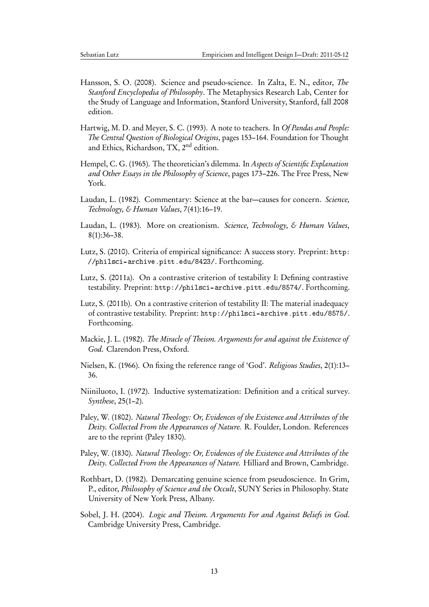- <span id="page-12-8"></span>Hansson, S. O. (2008). Science and pseudo-science. In Zalta, E. N., editor, The Stanford Encyclopedia of Philosophy. The Metaphysics Research Lab, Center for the Study of Language and Information, Stanford University, Stanford, fall 2008 edition.
- <span id="page-12-13"></span>Hartwig, M. D. and Meyer, S. C. (1993). A note to teachers. In Of Pandas and People: The Central Question of Biological Origins, pages 153–164. Foundation for Thought and Ethics, Richardson, TX, 2nd edition.
- <span id="page-12-10"></span>Hempel, C. G. (1965). The theoretician's dilemma. In Aspects of Scientific Explanation and Other Essays in the Philosophy of Science, pages 173–226. The Free Press, New York.
- <span id="page-12-7"></span>Laudan, L. (1982). Commentary: Science at the bar—causes for concern. Science, Technology, & Human Values, 7(41):16–19.
- <span id="page-12-6"></span>Laudan, L. (1983). More on creationism. Science, Technology, & Human Values, 8(1):36–38.
- <span id="page-12-4"></span>Lutz, S. (2010). Criteria of empirical significance: A success story. Preprint: [http:](http://philsci-archive.pitt.edu/8423/) [//philsci-archive.pitt.edu/8423/](http://philsci-archive.pitt.edu/8423/). Forthcoming.
- <span id="page-12-12"></span>Lutz, S. (2011a). On a contrastive criterion of testability I: Defining contrastive testability. Preprint: <http://philsci-archive.pitt.edu/8574/>. Forthcoming.
- <span id="page-12-5"></span>Lutz, S. (2011b). On a contrastive criterion of testability II: The material inadequacy of contrastive testability. Preprint: <http://philsci-archive.pitt.edu/8575/>. Forthcoming.
- <span id="page-12-0"></span>Mackie, J. L. (1982). The Miracle of Theism. Arguments for and against the Existence of God. Clarendon Press, Oxford.
- <span id="page-12-3"></span>Nielsen, K. (1966). On fixing the reference range of 'God'. Religious Studies, 2(1):13– 36.
- <span id="page-12-11"></span>Niiniluoto, I. (1972). Inductive systematization: Definition and a critical survey. Synthese, 25(1–2).
- <span id="page-12-2"></span>Paley, W. (1802). Natural Theology: Or, Evidences of the Existence and Attributes of the Deity. Collected From the Appearances of Nature. R. Foulder, London. References are to the reprint [\(Paley](#page-12-14) [1830\)](#page-12-14).
- <span id="page-12-14"></span>Paley, W. (1830). Natural Theology: Or, Evidences of the Existence and Attributes of the Deity. Collected From the Appearances of Nature. Hilliard and Brown, Cambridge.
- <span id="page-12-9"></span>Rothbart, D. (1982). Demarcating genuine science from pseudoscience. In Grim, P., editor, Philosophy of Science and the Occult, SUNY Series in Philosophy. State University of New York Press, Albany.
- <span id="page-12-1"></span>Sobel, J. H. (2004). Logic and Theism. Arguments For and Against Beliefs in God. Cambridge University Press, Cambridge.